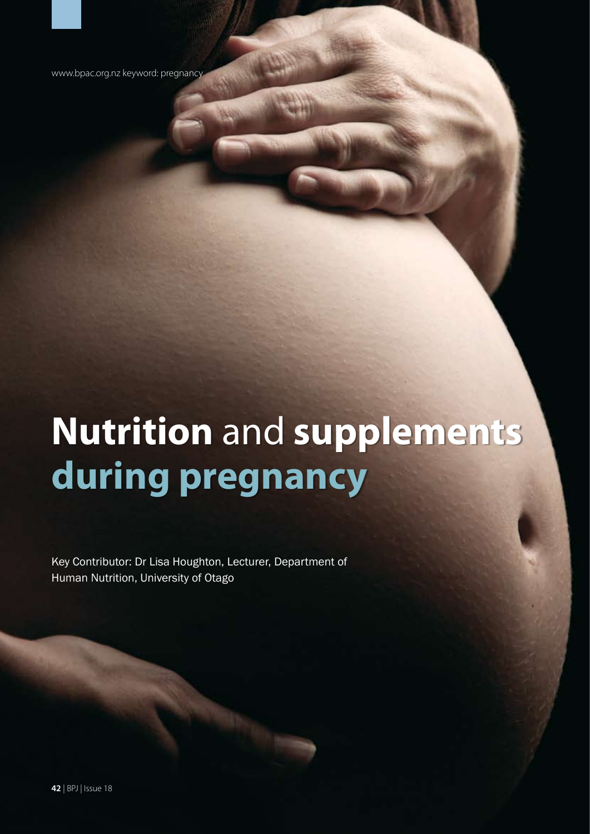www.bpac.org.nz keyword: pregnancy

# **Nutrition** and **supplements during pregnancy**

Key Contributor: Dr Lisa Houghton, Lecturer, Department of Human Nutrition, University of Otago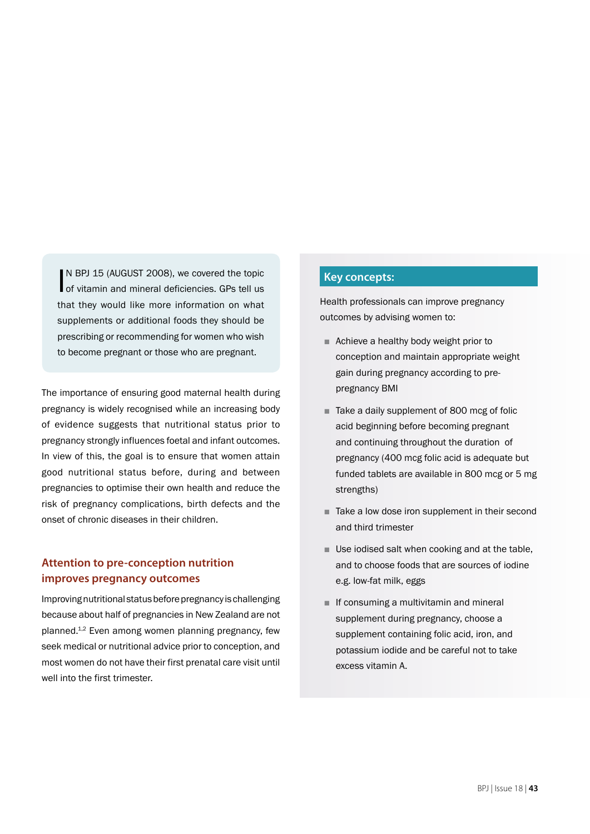N BPJ 15 (AUGUST 2008), we covered the topic<br>of vitamin and mineral deficiencies. GPs tell us N BPJ 15 (AUGUST 2008), we covered the topic that they would like more information on what supplements or additional foods they should be prescribing or recommending for women who wish to become pregnant or those who are pregnant.

The importance of ensuring good maternal health during pregnancy is widely recognised while an increasing body of evidence suggests that nutritional status prior to pregnancy strongly influences foetal and infant outcomes. In view of this, the goal is to ensure that women attain good nutritional status before, during and between pregnancies to optimise their own health and reduce the risk of pregnancy complications, birth defects and the onset of chronic diseases in their children.

## **Attention to pre-conception nutrition improves pregnancy outcomes**

Improving nutritional status before pregnancy is challenging because about half of pregnancies in New Zealand are not planned.<sup>1,2</sup> Even among women planning pregnancy, few seek medical or nutritional advice prior to conception, and most women do not have their first prenatal care visit until well into the first trimester.

## **Key concepts:**

Health professionals can improve pregnancy outcomes by advising women to:

- Achieve a healthy body weight prior to conception and maintain appropriate weight gain during pregnancy according to prepregnancy BMI
- Take a daily supplement of 800 mcg of folic acid beginning before becoming pregnant and continuing throughout the duration of pregnancy (400 mcg folic acid is adequate but funded tablets are available in 800 mcg or 5 mg strengths)
- Take a low dose iron supplement in their second and third trimester
- Use iodised salt when cooking and at the table, and to choose foods that are sources of iodine e.g. low-fat milk, eggs
- If consuming a multivitamin and mineral supplement during pregnancy, choose a supplement containing folic acid, iron, and potassium iodide and be careful not to take excess vitamin A.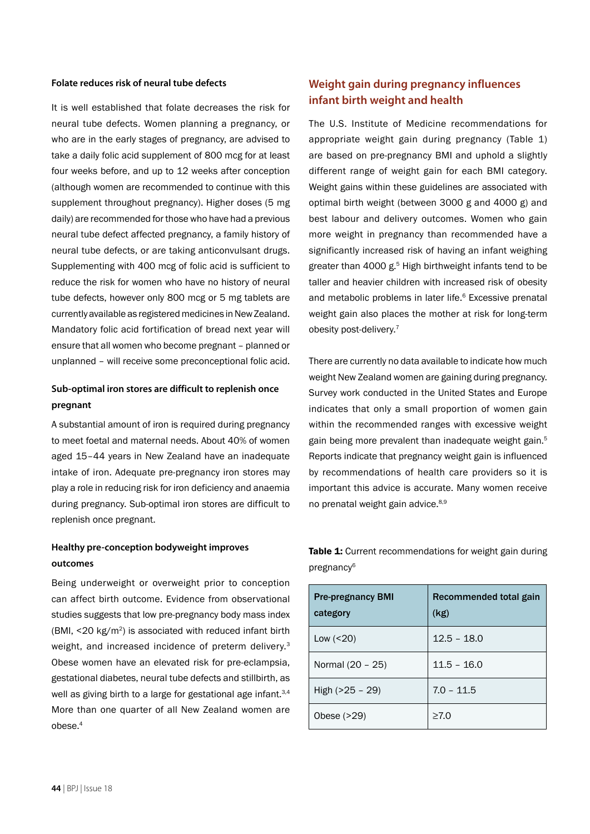#### **Folate reduces risk of neural tube defects**

It is well established that folate decreases the risk for neural tube defects. Women planning a pregnancy, or who are in the early stages of pregnancy, are advised to take a daily folic acid supplement of 800 mcg for at least four weeks before, and up to 12 weeks after conception (although women are recommended to continue with this supplement throughout pregnancy). Higher doses (5 mg daily) are recommended for those who have had a previous neural tube defect affected pregnancy, a family history of neural tube defects, or are taking anticonvulsant drugs. Supplementing with 400 mcg of folic acid is sufficient to reduce the risk for women who have no history of neural tube defects, however only 800 mcg or 5 mg tablets are currently available as registered medicines in New Zealand. Mandatory folic acid fortification of bread next year will ensure that all women who become pregnant – planned or unplanned – will receive some preconceptional folic acid.

## **Sub-optimal iron stores are difficult to replenish once pregnant**

A substantial amount of iron is required during pregnancy to meet foetal and maternal needs. About 40% of women aged 15–44 years in New Zealand have an inadequate intake of iron. Adequate pre-pregnancy iron stores may play a role in reducing risk for iron deficiency and anaemia during pregnancy. Sub-optimal iron stores are difficult to replenish once pregnant.

## **Healthy pre-conception bodyweight improves outcomes**

Being underweight or overweight prior to conception can affect birth outcome. Evidence from observational studies suggests that low pre-pregnancy body mass index (BMI, <20 kg/m2) is associated with reduced infant birth weight, and increased incidence of preterm delivery.<sup>3</sup> Obese women have an elevated risk for pre-eclampsia, gestational diabetes, neural tube defects and stillbirth, as well as giving birth to a large for gestational age infant.<sup>3,4</sup> More than one quarter of all New Zealand women are obese.4

## **Weight gain during pregnancy influences infant birth weight and health**

The U.S. Institute of Medicine recommendations for appropriate weight gain during pregnancy (Table 1) are based on pre-pregnancy BMI and uphold a slightly different range of weight gain for each BMI category. Weight gains within these guidelines are associated with optimal birth weight (between 3000 g and 4000 g) and best labour and delivery outcomes. Women who gain more weight in pregnancy than recommended have a significantly increased risk of having an infant weighing greater than 4000 g.5 High birthweight infants tend to be taller and heavier children with increased risk of obesity and metabolic problems in later life.<sup>6</sup> Excessive prenatal weight gain also places the mother at risk for long-term obesity post-delivery.7

There are currently no data available to indicate how much weight New Zealand women are gaining during pregnancy. Survey work conducted in the United States and Europe indicates that only a small proportion of women gain within the recommended ranges with excessive weight gain being more prevalent than inadequate weight gain.<sup>5</sup> Reports indicate that pregnancy weight gain is influenced by recommendations of health care providers so it is important this advice is accurate. Many women receive no prenatal weight gain advice.<sup>8,9</sup>

Pre-pregnancy BMI category Recommended total gain (kg) Low  $($  <math>20</math>) 12.5 – 18.0 Normal (20 – 25) | 11.5 – 16.0 High ( $>25 - 29$ ) 7.0 - 11.5 Obese (>29)  $|≥7.0$ 

Table 1: Current recommendations for weight gain during pregnancy6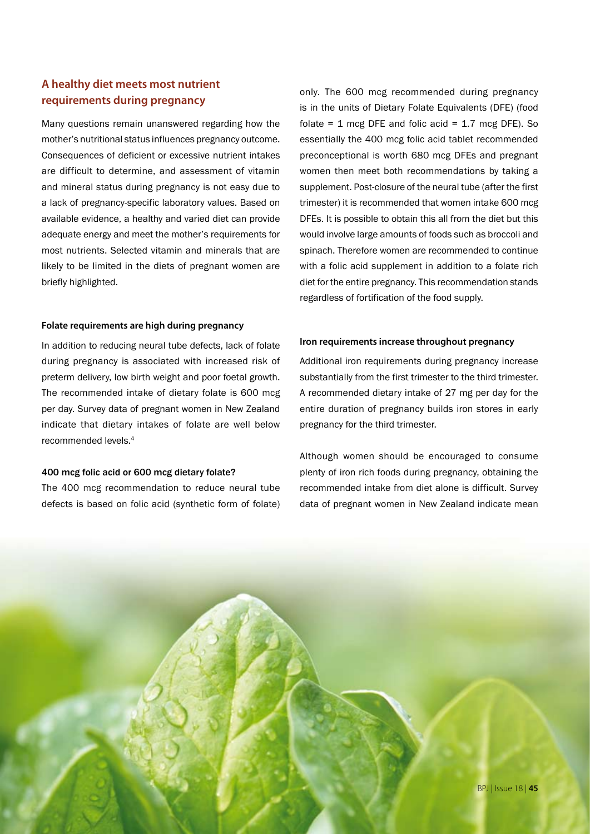## **A healthy diet meets most nutrient requirements during pregnancy**

Many questions remain unanswered regarding how the mother's nutritional status influences pregnancy outcome. Consequences of deficient or excessive nutrient intakes are difficult to determine, and assessment of vitamin and mineral status during pregnancy is not easy due to a lack of pregnancy-specific laboratory values. Based on available evidence, a healthy and varied diet can provide adequate energy and meet the mother's requirements for most nutrients. Selected vitamin and minerals that are likely to be limited in the diets of pregnant women are briefly highlighted.

#### **Folate requirements are high during pregnancy**

In addition to reducing neural tube defects, lack of folate during pregnancy is associated with increased risk of preterm delivery, low birth weight and poor foetal growth. The recommended intake of dietary folate is 600 mcg per day. Survey data of pregnant women in New Zealand indicate that dietary intakes of folate are well below recommended levels.4

### 400 mcg folic acid or 600 mcg dietary folate?

The 400 mcg recommendation to reduce neural tube defects is based on folic acid (synthetic form of folate) only. The 600 mcg recommended during pregnancy is in the units of Dietary Folate Equivalents (DFE) (food folate =  $1 \text{ mg}$  DFE and folic acid =  $1.7 \text{ mg}$  DFE). So essentially the 400 mcg folic acid tablet recommended preconceptional is worth 680 mcg DFEs and pregnant women then meet both recommendations by taking a supplement. Post-closure of the neural tube (after the first trimester) it is recommended that women intake 600 mcg DFEs. It is possible to obtain this all from the diet but this would involve large amounts of foods such as broccoli and spinach. Therefore women are recommended to continue with a folic acid supplement in addition to a folate rich diet for the entire pregnancy. This recommendation stands regardless of fortification of the food supply.

#### **Iron requirements increase throughout pregnancy**

Additional iron requirements during pregnancy increase substantially from the first trimester to the third trimester. A recommended dietary intake of 27 mg per day for the entire duration of pregnancy builds iron stores in early pregnancy for the third trimester.

Although women should be encouraged to consume plenty of iron rich foods during pregnancy, obtaining the recommended intake from diet alone is difficult. Survey data of pregnant women in New Zealand indicate mean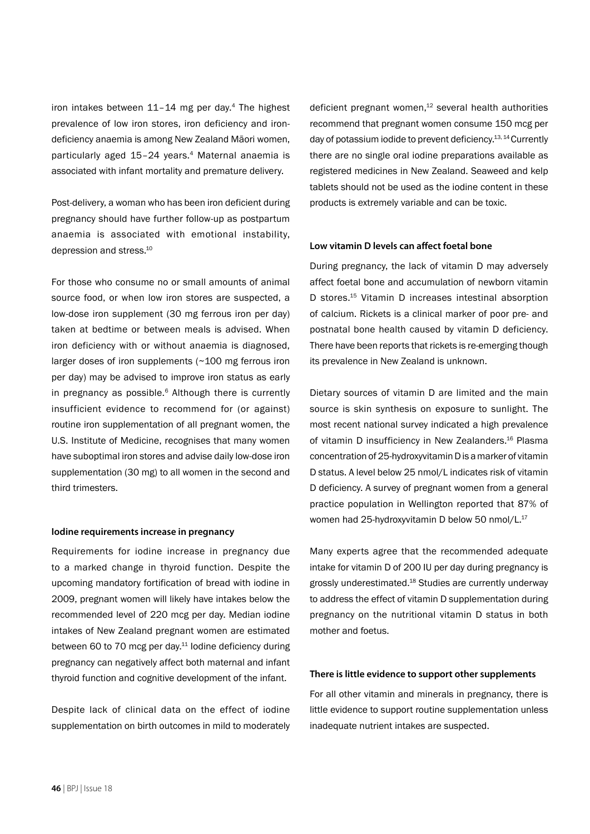iron intakes between  $11-14$  mg per day.<sup>4</sup> The highest prevalence of low iron stores, iron deficiency and irondeficiency anaemia is among New Zealand Māori women, particularly aged 15-24 years.<sup>4</sup> Maternal anaemia is associated with infant mortality and premature delivery.

Post-delivery, a woman who has been iron deficient during pregnancy should have further follow-up as postpartum anaemia is associated with emotional instability, depression and stress.<sup>10</sup>

For those who consume no or small amounts of animal source food, or when low iron stores are suspected, a low-dose iron supplement (30 mg ferrous iron per day) taken at bedtime or between meals is advised. When iron deficiency with or without anaemia is diagnosed, larger doses of iron supplements (~100 mg ferrous iron per day) may be advised to improve iron status as early in pregnancy as possible. $6$  Although there is currently insufficient evidence to recommend for (or against) routine iron supplementation of all pregnant women, the U.S. Institute of Medicine, recognises that many women have suboptimal iron stores and advise daily low-dose iron supplementation (30 mg) to all women in the second and third trimesters.

#### **Iodine requirements increase in pregnancy**

Requirements for iodine increase in pregnancy due to a marked change in thyroid function. Despite the upcoming mandatory fortification of bread with iodine in 2009, pregnant women will likely have intakes below the recommended level of 220 mcg per day. Median iodine intakes of New Zealand pregnant women are estimated between 60 to 70 mcg per day.<sup>11</sup> lodine deficiency during pregnancy can negatively affect both maternal and infant thyroid function and cognitive development of the infant.

Despite lack of clinical data on the effect of iodine supplementation on birth outcomes in mild to moderately deficient pregnant women. $12$  several health authorities recommend that pregnant women consume 150 mcg per day of potassium iodide to prevent deficiency.13, 14 Currently there are no single oral iodine preparations available as registered medicines in New Zealand. Seaweed and kelp tablets should not be used as the iodine content in these products is extremely variable and can be toxic.

#### **Low vitamin D levels can affect foetal bone**

During pregnancy, the lack of vitamin D may adversely affect foetal bone and accumulation of newborn vitamin D stores.15 Vitamin D increases intestinal absorption of calcium. Rickets is a clinical marker of poor pre- and postnatal bone health caused by vitamin D deficiency. There have been reports that rickets is re-emerging though its prevalence in New Zealand is unknown.

Dietary sources of vitamin D are limited and the main source is skin synthesis on exposure to sunlight. The most recent national survey indicated a high prevalence of vitamin D insufficiency in New Zealanders.<sup>16</sup> Plasma concentration of 25-hydroxyvitamin D is a marker of vitamin D status. A level below 25 nmol/L indicates risk of vitamin D deficiency. A survey of pregnant women from a general practice population in Wellington reported that 87% of women had 25-hydroxyvitamin D below 50 nmol/L.<sup>17</sup>

Many experts agree that the recommended adequate intake for vitamin D of 200 IU per day during pregnancy is grossly underestimated.18 Studies are currently underway to address the effect of vitamin D supplementation during pregnancy on the nutritional vitamin D status in both mother and foetus.

#### **There is little evidence to support other supplements**

For all other vitamin and minerals in pregnancy, there is little evidence to support routine supplementation unless inadequate nutrient intakes are suspected.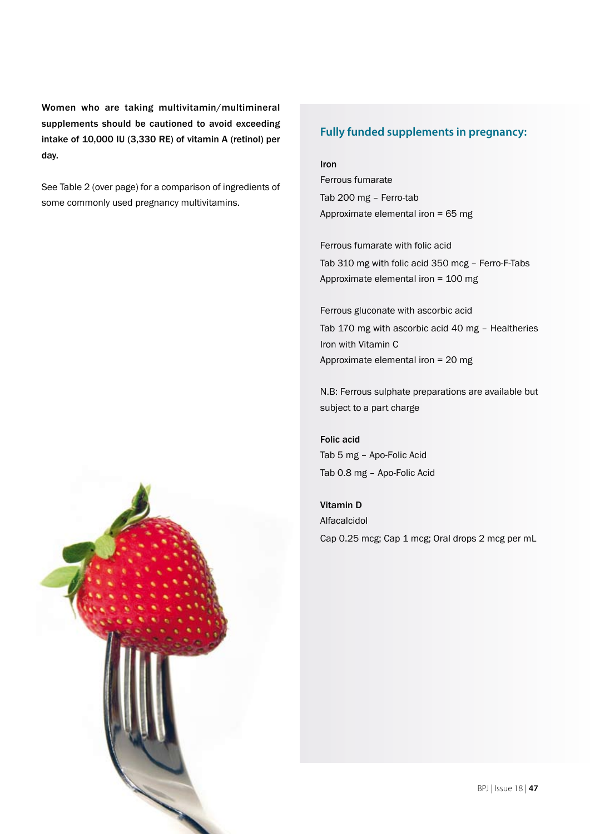Women who are taking multivitamin/multimineral supplements should be cautioned to avoid exceeding intake of 10,000 IU (3,330 RE) of vitamin A (retinol) per day.

See Table 2 (over page) for a comparison of ingredients of some commonly used pregnancy multivitamins.



## **Fully funded supplements in pregnancy:**

Iron

Ferrous fumarate Tab 200 mg – Ferro-tab Approximate elemental iron = 65 mg

Ferrous fumarate with folic acid Tab 310 mg with folic acid 350 mcg – Ferro-F-Tabs Approximate elemental iron = 100 mg

Ferrous gluconate with ascorbic acid Tab 170 mg with ascorbic acid 40 mg – Healtheries Iron with Vitamin C Approximate elemental iron = 20 mg

N.B: Ferrous sulphate preparations are available but subject to a part charge

Folic acid Tab 5 mg – Apo-Folic Acid Tab 0.8 mg – Apo-Folic Acid

Vitamin D Alfacalcidol Cap 0.25 mcg; Cap 1 mcg; Oral drops 2 mcg per mL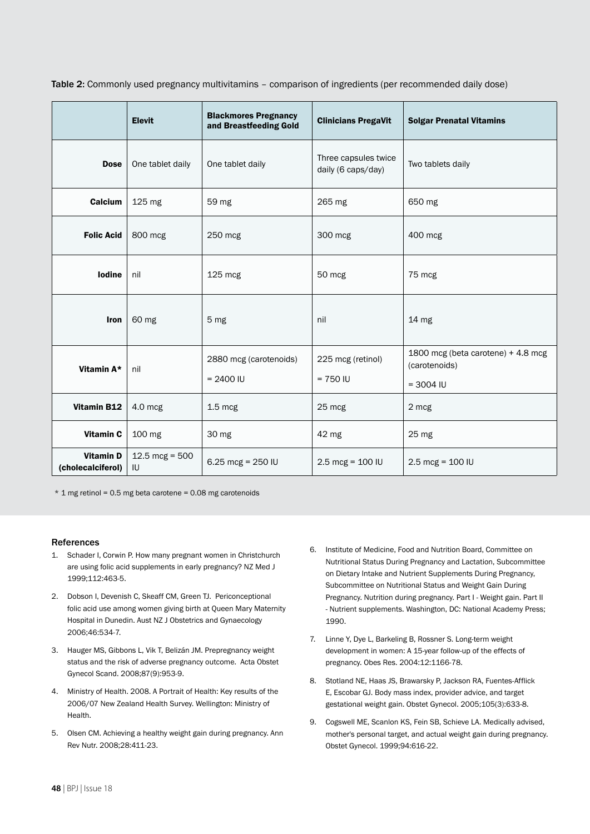Table 2: Commonly used pregnancy multivitamins - comparison of ingredients (per recommended daily dose)

|                               | <b>Elevit</b>                                  | <b>Blackmores Pregnancy</b><br>and Breastfeeding Gold | <b>Clinicians PregaVit</b>                 | <b>Solgar Prenatal Vitamins</b>                                    |
|-------------------------------|------------------------------------------------|-------------------------------------------------------|--------------------------------------------|--------------------------------------------------------------------|
|                               | <b>Dose</b> $\vert$ One tablet daily           | One tablet daily                                      | Three capsules twice<br>daily (6 caps/day) | Two tablets daily                                                  |
|                               | <b>Calcium</b> $\left  125 \text{ mg} \right $ | 59 mg                                                 | 265 mg                                     | 650 mg                                                             |
| Folic Acid   800 mcg          |                                                | 250 mcg                                               | 300 mcg                                    | 400 mcg                                                            |
| <b>lodine</b> $\vert$ nil     |                                                | 125 mcg                                               | 50 mcg                                     | 75 mcg                                                             |
|                               | <b>Iron</b>   60 mg                            | 5 <sub>mg</sub>                                       | nil                                        | 14 mg                                                              |
| Vitamin A*   nil              |                                                | 2880 mcg (carotenoids)<br>$= 2400$ IU                 | 225 mcg (retinol)<br>$= 750$ IU            | 1800 mcg (beta carotene) + 4.8 mcg<br>(carotenoids)<br>$= 3004$ IU |
| Vitamin B12 $\vert$ 4.0 mcg   |                                                | $1.5 \text{ mcg}$                                     | 25 mcg                                     | 2 mcg                                                              |
| Vitamin C $\vert$ 100 mg      |                                                | 30 mg                                                 | 42 mg                                      | 25 mg                                                              |
| $(cholecalciferol)$ $ $ $ $ U | <b>Vitamin D</b>   12.5 mcg = 500              | $6.25 \text{ mcg} = 250 \text{ lU}$                   | $2.5 \text{ mcg} = 100 \text{ lU}$         | $2.5 \text{ mcg} = 100 \text{ lU}$                                 |

 $*$  1 mg retinol = 0.5 mg beta carotene = 0.08 mg carotenoids

#### References

- 1. Schader I, Corwin P. How many pregnant women in Christchurch are using folic acid supplements in early pregnancy? NZ Med J 1999;112:463-5.
- 2. Dobson I, Devenish C, Skeaff CM, Green TJ. Periconceptional folic acid use among women giving birth at Queen Mary Maternity Hospital in Dunedin. Aust NZ J Obstetrics and Gynaecology 2006;46:534-7.
- 3. Hauger MS, Gibbons L, Vik T, Belizán JM. Prepregnancy weight status and the risk of adverse pregnancy outcome. Acta Obstet Gynecol Scand. 2008;87(9):953-9.
- 4. Ministry of Health. 2008. A Portrait of Health: Key results of the 2006/07 New Zealand Health Survey. Wellington: Ministry of Health.
- 5. Olsen CM. Achieving a healthy weight gain during pregnancy. Ann Rev Nutr. 2008;28:411-23.
- 6. Institute of Medicine, Food and Nutrition Board, Committee on Nutritional Status During Pregnancy and Lactation, Subcommittee on Dietary Intake and Nutrient Supplements During Pregnancy, Subcommittee on Nutritional Status and Weight Gain During Pregnancy. Nutrition during pregnancy. Part I - Weight gain. Part II - Nutrient supplements. Washington, DC: National Academy Press; 1990.
- 7. Linne Y, Dye L, Barkeling B, Rossner S. Long-term weight development in women: A 15-year follow-up of the effects of pregnancy. Obes Res. 2004:12:1166-78.
- 8. Stotland NE, Haas JS, Brawarsky P, Jackson RA, Fuentes-Afflick E, Escobar GJ. Body mass index, provider advice, and target gestational weight gain. Obstet Gynecol. 2005;105(3):633-8.
- 9. Cogswell ME, Scanlon KS, Fein SB, Schieve LA. Medically advised, mother's personal target, and actual weight gain during pregnancy. Obstet Gynecol. 1999;94:616-22.